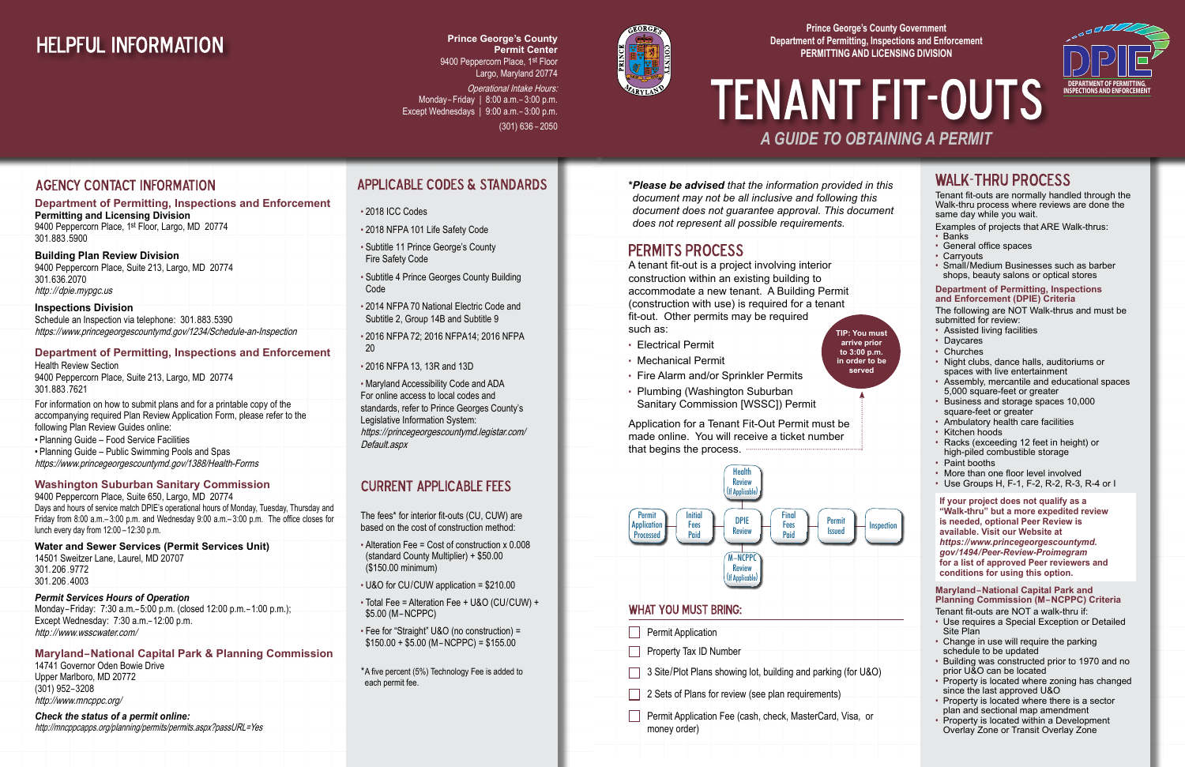Tenant fit-outs are normally handled through the Walk-thru process where reviews are done the same day while you wait.

Examples of projects that ARE Walk-thrus:

- Banks
- General office spaces
- Carryouts
- Small/Medium Businesses such as barber shops, beauty salons or optical stores

#### **Department of Permitting, Inspections and Enforcement (DPIE) Criteria**

The following are NOT Walk-thrus and must be submitted for review:

- Assisted living facilities
- Daycares
- Churches
- Night clubs, dance halls, auditoriums or spaces with live entertainment
- Assembly, mercantile and educational spaces 5,000 square-feet or greater
- Business and storage spaces 10,000 square-feet or greater
- Ambulatory health care facilities
- Kitchen hoods
- Racks (exceeding 12 feet in height) or high-piled combustible storage
- Paint booths
- More than one floor level involved
- Use Groups H, F-1, F-2, R-2, R-3, R-4 or I

**If your project does not qualify as a "Walk-thru" but a more expedited review is needed, optional Peer Review is available. Visit our Website at**  *https://www.princegeorgescountymd. gov/1494/Peer-Review-Proimegram* **for a list of approved Peer reviewers and conditions for using this option.** 

#### **Maryland–National Capital Park and Planning Commission (M–NCPPC) Criteria**

Tenant fit-outs are NOT a walk-thru if:

- Use requires a Special Exception or Detailed Site Plan
- Change in use will require the parking schedule to be updated
- Building was constructed prior to 1970 and no prior U&O can be located
- Property is located where zoning has changed since the last approved U&O
- Property is located where there is a sector plan and sectional map amendment
- Property is located within a Development Overlay Zone or Transit Overlay Zone

#### **Department of Permitting, Inspections and Enforcement**

**Permitting and Licensing Division** 9400 Peppercorn Place, 1st Floor, Largo, MD 20774 301.883.5900

#### **Building Plan Review Division**

9400 Peppercorn Place, Suite 213, Largo, MD 20774 301.636.2070 http://dpie.mypgc.us

- Alteration Fee = Cost of construction x 0.008 (standard County Multiplier) + \$50.00 (\$150.00 minimum)
- U&O for CU/CUW application = \$210.00
- Total Fee = Alteration Fee + U&O (CU/CUW) + \$5.00 (M–NCPPC)
- Fee for "Straight" U&O (no construction) =  $$150.00 + $5.00$  (M-NCPPC) = \$155.00

**Inspections Division** Schedule an Inspection via telephone: 301.883.5390 https://www.princegeorgescountymd.gov/1234/Schedule-an-Inspection

#### **Department of Permitting, Inspections and Enforcement**

Health Review Section 9400 Peppercorn Place, Suite 213, Largo, MD 20774 301.883.7621

**Operational Intake Hours:** Monday– Friday | 8:00 a.m.– 3:00 p.m. Except Wednesdays | 9:00 a.m.– 3:00 p.m. (301) 636 – 2050

For information on how to submit plans and for a printable copy of the accompanying required Plan Review Application Form, please refer to the following Plan Review Guides online: • Planning Guide – Food Service Facilities

• Planning Guide – Public Swimming Pools and Spas https://www.princegeorgescountymd.gov/1388/Health-Forms

#### **Washington Suburban Sanitary Commission**

# **TENANT FIT-OUTS** *A GUIDE TO OBTAINING A PERMIT*

9400 Peppercorn Place, Suite 650, Largo, MD 20774 Days and hours of service match DPIE's operational hours of Monday, Tuesday, Thursday and Friday from 8:00 a.m.– 3:00 p.m. and Wednesday 9:00 a.m.– 3:00 p.m. The office closes for lunch every day from 12:00 –12:30 p.m.

#### **Water and Sewer Services (Permit Services Unit)**

14501 Sweitzer Lane, Laurel, MD 20707 301.206 .9772 301.206 . 4003

#### *Permit Services Hours of Operation*

Monday–Friday: 7:30 a.m.– 5:00 p.m. (closed 12:00 p.m.– 1:00 p.m.); Except Wednesday: 7:30 a.m.– 12:00 p.m. http://www.wsscwater.com/

#### **Maryland–National Capital Park & Planning Commission**

14741 Governor Oden Bowie Drive Upper Marlboro, MD 20772 (301) 952– 3208 http://www.mncppc.org/

#### *Check the status of a permit online:*

http://mncppcapps.org/planning/permits/permits.aspx?passURL=Yes

### **APPLICABLE CODES & STANDARDS**

- 2018 ICC Codes
- 2018 NFPA 101 Life Safety Code
- Subtitle 11 Prince George's County Fire Safety Code
- Subtitle 4 Prince Georges County Building Code
- 2014 NFPA 70 National Electric Code and Subtitle 2, Group 14B and Subtitle 9
- 2016 NFPA 72; 2016 NFPA14; 2016 NFPA 20
- 2016 NFPA 13, 13R and 13D

• Maryland Accessibility Code and ADA For online access to local codes and standards, refer to Prince Georges County's Legislative Information System: https://princegeorgescountymd.legistar.com/ Default.aspx

#### **CURRENT APPLICABLE FFES**

The fees\* for interior fit-outs (CU, CUW) are based on the cost of construction method:

## **HELPFUL INFORMATION**

**Prince George's County Permit Center** 9400 Peppercorn Place, 1st Floor Largo, Maryland 20774

- Electrical Permit
- Mechanical Permit
- Fire Alarm and/or Sprinkler Permits
- Plumbing (Washington Suburban Sanitary Commission [WSSC]) Permit

A tenant fit-out is a project involving interior construction within an existing building to accommodate a new tenant. A Building Permit (construction with use) is required for a tenant fit-out. Other permits may be required such as: **TIP: You must** 

Application for a Tenant Fit-Out Permit must be made online. You will receive a ticket number that begins the process.

**arrive prior to 3:00 p.m. in order to be served**

#### **AGENCY CONTACT INFORMATION**

#### **Prince George's County Government Department of Permitting, Inspections and Enforcement PERMITTING AND LICENSING DIVISION**



*\*Please be advised that the information provided in this document may not be all inclusive and following this document does not guarantee approval. This document does not represent all possible requirements.*

### **PERMITS PROCESS**





\*A five percent (5%) Technology Fee is added to each permit fee.